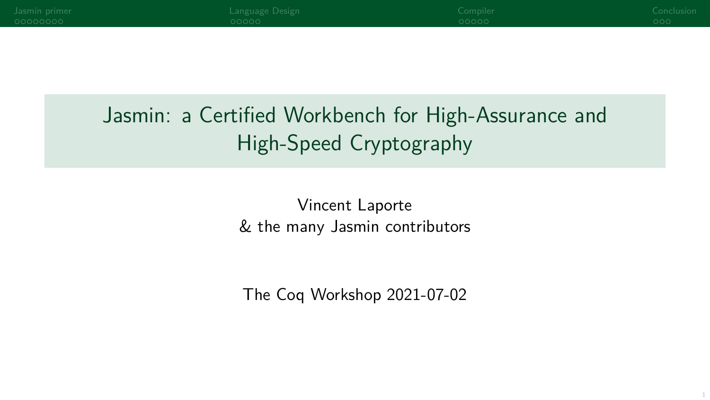| Jasmin primer<br>00000000 | Language Design<br>adaaa                             | Compiler<br>ooooo | Conclusion<br>000. |
|---------------------------|------------------------------------------------------|-------------------|--------------------|
|                           |                                                      |                   |                    |
|                           |                                                      |                   |                    |
|                           |                                                      |                   |                    |
|                           | Jasmin: a Certified Workbench for High-Assurance and |                   |                    |
|                           | High-Speed Cryptography                              |                   |                    |
|                           |                                                      |                   |                    |

Vincent Laporte & the many Jasmin contributors

The Coq Workshop 2021-07-02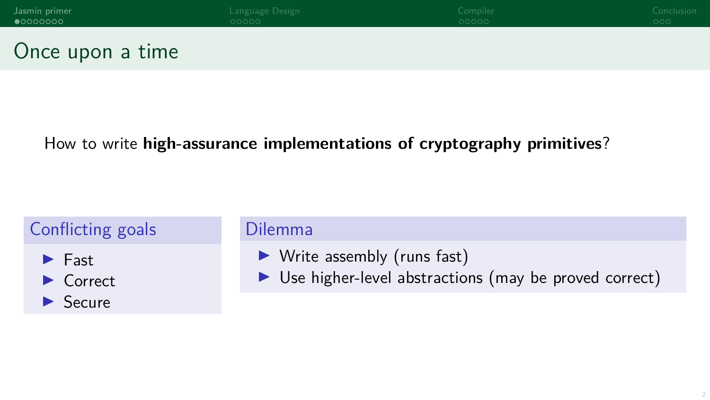<span id="page-1-0"></span>

| Jasmin primer     | Language Design | Compiler | Conclusion |
|-------------------|-----------------|----------|------------|
| $\bullet$ 0000000 | 00000           | 00000    | 000        |
| Once upon a time  |                 |          |            |

#### How to write **high-assurance implementations of cryptography primitives**?

### Conflicting goals  $\blacktriangleright$  Fast



- Dilemma
	- $\blacktriangleright$  Write assembly (runs fast)
	- $\triangleright$  Use higher-level abstractions (may be proved correct)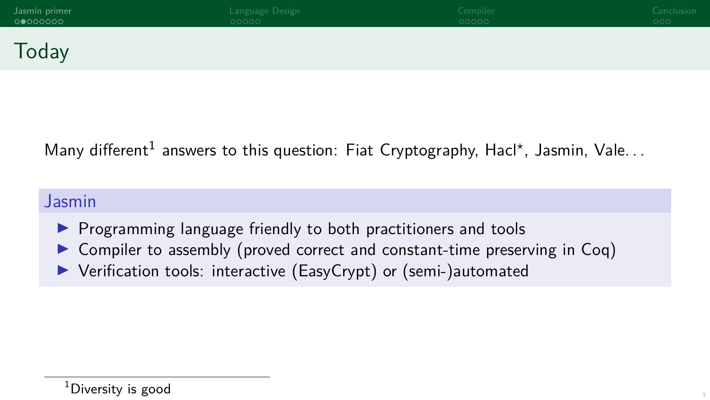| Jasmin primer | Language Design | Compiler | Conclusion |
|---------------|-----------------|----------|------------|
| 0 0000000     | 00000           | 00000    | 000        |
| Today         |                 |          |            |

#### Many different<sup>1</sup> answers to this question: Fiat Cryptography, Hacl\*, Jasmin, Vale...

#### Jasmin

- $\triangleright$  Programming language friendly to both practitioners and tools
- $\triangleright$  Compiler to assembly (proved correct and constant-time preserving in Coq)
- ▶ Verification tools: interactive (EasyCrypt) or (semi-)automated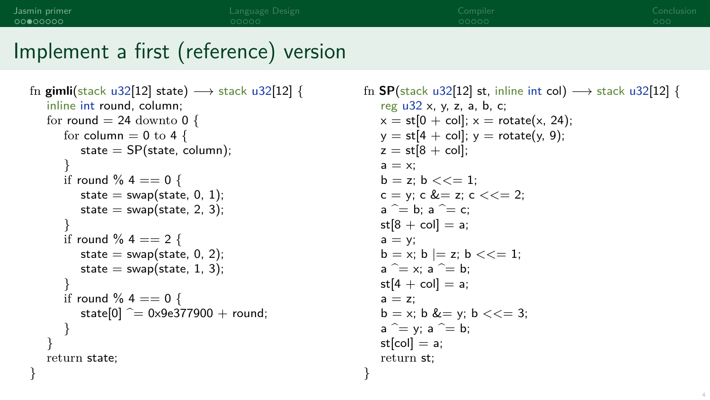}

# Implement a first (reference) version

```
fn gimli(stack u32[12] state) −→ stack u32[12] {
   inline int round, column;
   for round = 24 downto 0 {
      for column = 0 to 4 {
         state = SP(state, column);
      }
      if round % 4 = 0 \}state = swap(state, 0, 1);
         state = swap(state, 2, 3);
      }
      if round \% 4 = 2 {
         state = swap(state, 0, 2);
         state = swap(state, 1, 3);
      }
      if round % 4 = 0 \}state[0] \hat{ } = 0x9e377900 + round;
     }
   }
   return state;
}
```

```
fn SP(stack u32[12] st, inline int col) \rightarrow stack u32[12] {
   reg u32 x, y, z, a, b, c;
   x = st[0 + col]; x = rotate(x, 24);y = st[4 + col]; y = rotate(y, 9);z = st[8 + col]:a = x:
   b = z; b \lt \lt = 1;
   c = v; c &= z; c < = 2;
   a^{\sim} = b; a^{\sim} = c;
   st[8 + col] = a;a = v:
   b = x; b = z; b \leq t = 1;
   a^{\sim} = x; a^{\sim} = b;
   st[4 + col] = a;
   a = z:
   b = x; b <= y; b <= 3;
   a^{\sim} = y; a^{\sim} = b;
   st[col] = a;return st;
```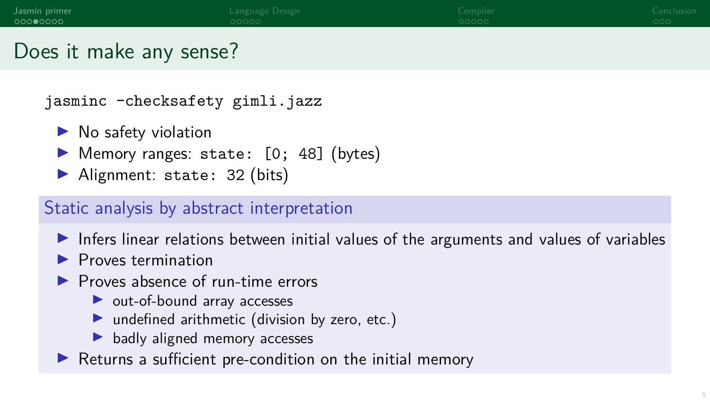# Does it make any sense?

jasminc -checksafety gimli.jazz

- $\blacktriangleright$  No safety violation
- $\blacktriangleright$  Memory ranges: state:  $[0; 48]$  (bytes)
- $\blacktriangleright$  Alignment: state: 32 (bits)

#### Static analysis by abstract interpretation

- $\triangleright$  Infers linear relations between initial values of the arguments and values of variables
- $\blacktriangleright$  Proves termination
- $\blacktriangleright$  Proves absence of run-time errors
	- $\blacktriangleright$  out-of-bound array accesses
	- $\blacktriangleright$  undefined arithmetic (division by zero, etc.)
	- $\blacktriangleright$  badly aligned memory accesses
- $\blacktriangleright$  Returns a sufficient pre-condition on the initial memory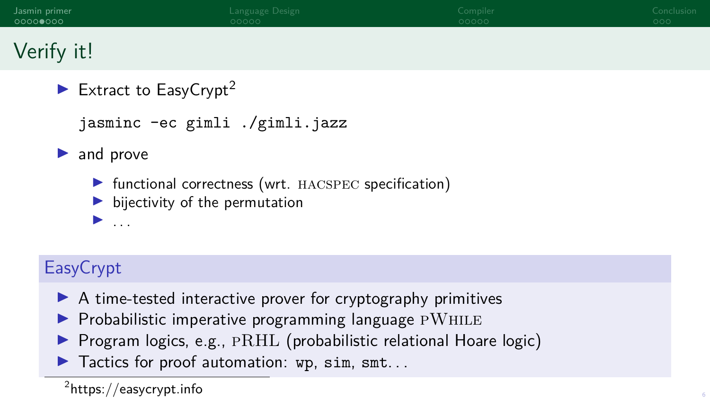| Jasmin primer | Language Design | Compiler | Conclusion |
|---------------|-----------------|----------|------------|
| 000000000     | 00000           | 00000    | 000        |
| Verify it!    |                 |          |            |

Extract to EasyCrypt<sup>2</sup>

jasminc -ec gimli ./gimli.jazz

 $\blacktriangleright$  and prove

 $\blacktriangleright$  ...

- $\triangleright$  functional correctness (wrt. HACSPEC specification)
- $\blacktriangleright$  bijectivity of the permutation

## **EasyCrypt**

- $\blacktriangleright$  A time-tested interactive prover for cryptography primitives
- $\blacktriangleright$  Probabilistic imperative programming language  $\textsc{pWhilb}$
- Program logics, e.g.,  $\text{PRHL}$  (probabilistic relational Hoare logic)
- $\blacktriangleright$  Tactics for proof automation: wp. sim. smt...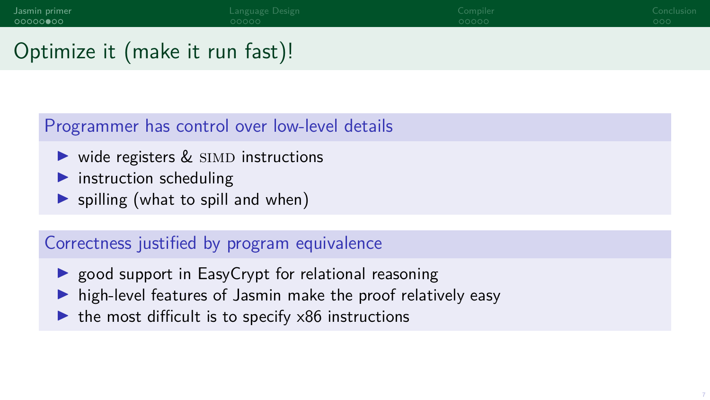# Optimize it (make it run fast)!

#### Programmer has control over low-level details

- $\triangleright$  wide registers  $\&$  SIMD instructions
- $\blacktriangleright$  instruction scheduling
- $\triangleright$  spilling (what to spill and when)

#### Correctness justified by program equivalence

- $\triangleright$  good support in EasyCrypt for relational reasoning
- $\blacktriangleright$  high-level features of Jasmin make the proof relatively easy
- $\triangleright$  the most difficult is to specify  $\times 86$  instructions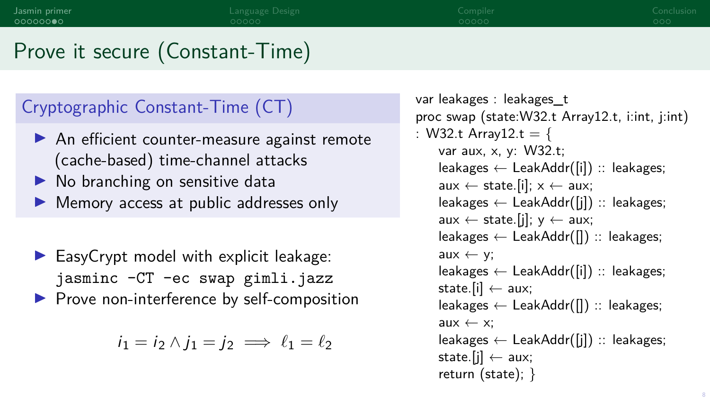# Prove it secure (Constant-Time)

#### Cryptographic Constant-Time (CT)

- $\triangleright$  An efficient counter-measure against remote (cache-based) time-channel attacks
- $\blacktriangleright$  No branching on sensitive data
- Memory access at public addresses only

 $\blacktriangleright$  EasyCrypt model with explicit leakage: jasminc -CT -ec swap gimli.jazz  $\blacktriangleright$  Prove non-interference by self-composition

$$
i_1 = i_2 \wedge j_1 = j_2 \implies \ell_1 = \ell_2
$$

```
var leakages : leakages_t
proc swap (state:W32.t Array12.t, i:int, j:int)
: W32.t Array12.t = {
    var aux, x, y: W32.t;
    leakages ← LeakAddr([i]) :: leakages;
    aux \leftarrow state.[i]; x \leftarrow aux;leakages ← LeakAddr([j]) :: leakages;
    aux \leftarrow state.[i]; v \leftarrow aux;leakages ← LeakAddr([]) :: leakages;
    aux \leftarrow v;
    leakages ← LeakAddr([i]) :: leakages;
    state.[i] \leftarrow \text{aux};leakages ← LeakAddr([]) :: leakages;
    aux \leftarrow x:
    leakages ← LeakAddr([j]) :: leakages;
    state.[i] \leftarrow \text{aux};return (state); }
```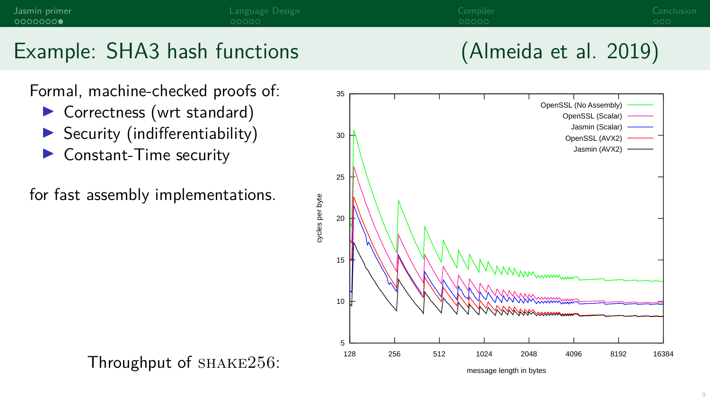



- $\triangleright$  Correctness (wrt standard)
- $\blacktriangleright$  Security (indifferentiability)
- $\blacktriangleright$  Constant-Time security
- for fast assembly implementations.

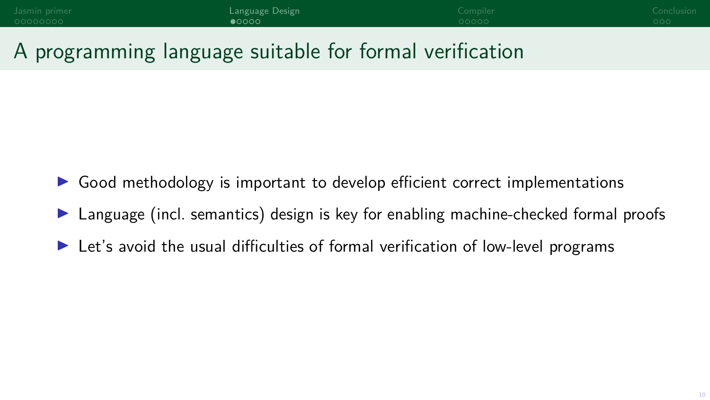<span id="page-9-0"></span>

| Jasmin primer | Language Design  | Compiler | Conclusior |
|---------------|------------------|----------|------------|
| 000000000     | $\bullet$ $0000$ | 00000    | LOOO!      |
|               |                  |          |            |

# A programming language suitable for formal verification

- Good methodology is important to develop efficient correct implementations
- Language (incl. semantics) design is key for enabling machine-checked formal proofs
- Let's avoid the usual difficulties of formal verification of low-level programs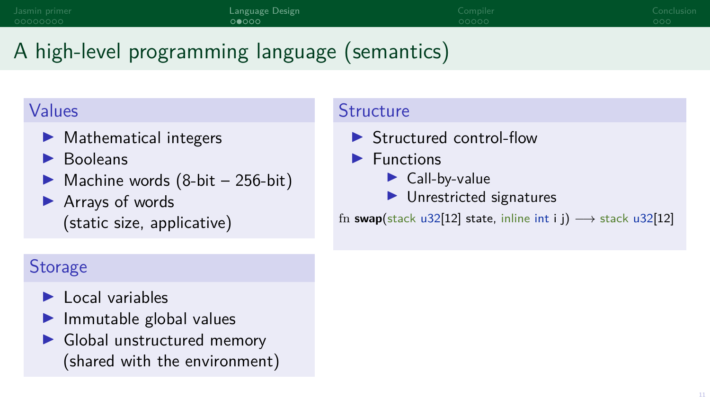# A high-level programming language (semantics)

#### Values

- $\blacktriangleright$  Mathematical integers
- **Booleans**
- $\triangleright$  Machine words (8-bit 256-bit)
- $\blacktriangleright$  Arrays of words (static size, applicative)

## **Storage**

- $\blacktriangleright$  Local variables
- $\blacktriangleright$  Immutable global values
- $\blacktriangleright$  Global unstructured memory (shared with the environment)

#### **Structure**

- $\blacktriangleright$  Structured control-flow
- $\blacktriangleright$  Functions
	- $\blacktriangleright$  Call-by-value
	- $\blacktriangleright$  Unrestricted signatures

fn **swap**(stack u32[12] state, inline int i j)  $\rightarrow$  stack u32[12]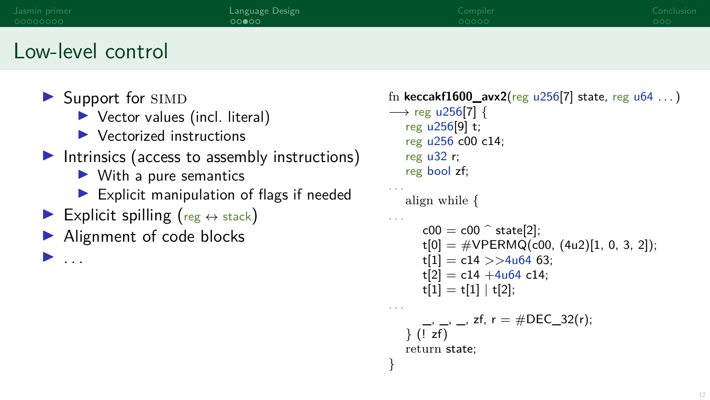| Jasmin primer     | Language Design | Compiler | Conclusion |
|-------------------|-----------------|----------|------------|
| 00000000          | 00000           | 00000    | 000        |
| Low-level control |                 |          |            |

 $\blacktriangleright$  Support for SIMD

I . . .

- $\blacktriangleright$  Vector values (incl. literal)
- $\blacktriangleright$  Vectorized instructions
- $\blacktriangleright$  Intrinsics (access to assembly instructions)
	- $\blacktriangleright$  With a pure semantics
	- $\blacktriangleright$  Explicit manipulation of flags if needed
- Explicit spilling ( $reg \leftrightarrow stack$ )
- ▶ Alignment of code blocks

```
fn keccakf1600_avx2(reg u256[7] state, reg u64 . . . )
−→ reg u256[7] {
   reg u256[9] t;
   reg u256 c00 c14;
   reg u32 r;
   reg bool zf;
. . .
   align while {
. . .
      c00 = c00 \hat{ } state[2];
      t[0] = #VPERMQ(c00, (4u2)[1, 0, 3, 2]);t[1] = c14 \gg 4u64 63;
      t[2] = c14 + 4u64 c14;t[1] = t[1] | t[2];
. . .
      \_, \_, \_, zf, r = #DEC_32(r);} (! zf)
   return state;
}
```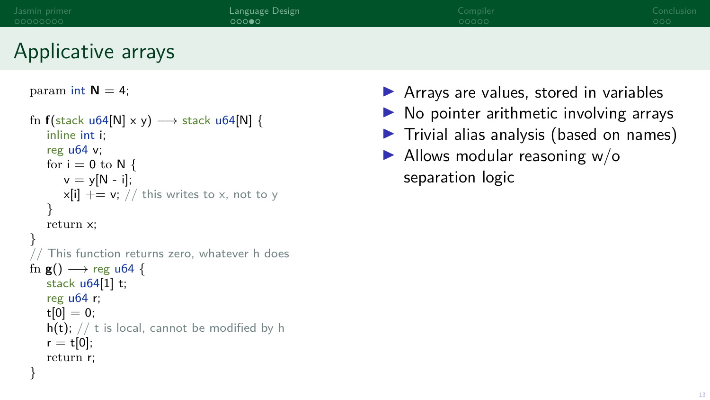| Jasmin primer<br>00000000 | Language Design<br>റററൈ | Compiler<br>00000                      | Conclusion<br>000 <sub>o</sub> |
|---------------------------|-------------------------|----------------------------------------|--------------------------------|
| Applicative arrays        |                         |                                        |                                |
| param int $N = 4$ ;       |                         | Arrays are values, stored in variables |                                |

```
fn f(stack u64[N] \times y) \rightarrow stack u64[N] {
   inline int i;
   reg u64 v;
   for i = 0 to N {
      v = v[N - i];x[i] += v; // this writes to x, not to y
   }
   return x;
}
   This function returns zero, whatever h does
fn g() \longrightarrow reg u64 {
   stack u64[1] t;
   reg u64 r;
   t[0] = 0;
   h(t); // t is local, cannot be modified by h
   r = t[0];return r;
}
```
- 
- $\blacktriangleright$  No pointer arithmetic involving arrays
- $\blacktriangleright$  Trivial alias analysis (based on names)
- $\blacktriangleright$  Allows modular reasoning w/o separation logic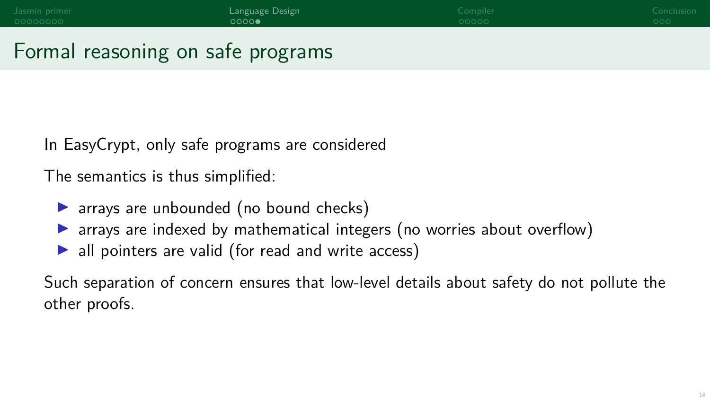# Formal reasoning on safe programs

In EasyCrypt, only safe programs are considered

The semantics is thus simplified:

- $\triangleright$  arrays are unbounded (no bound checks)
- $\triangleright$  arrays are indexed by mathematical integers (no worries about overflow)
- $\blacktriangleright$  all pointers are valid (for read and write access)

Such separation of concern ensures that low-level details about safety do not pollute the other proofs.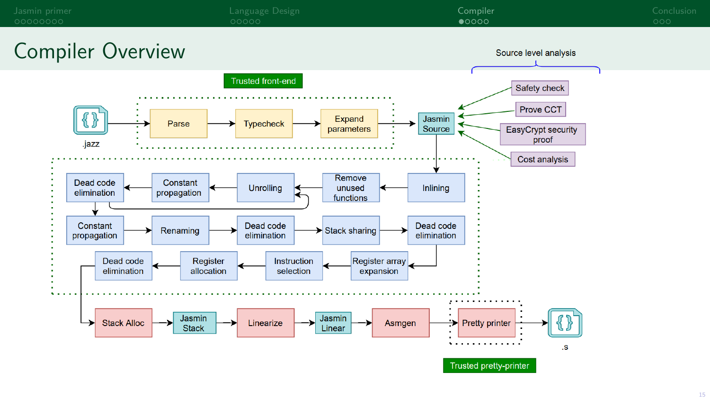<span id="page-14-0"></span>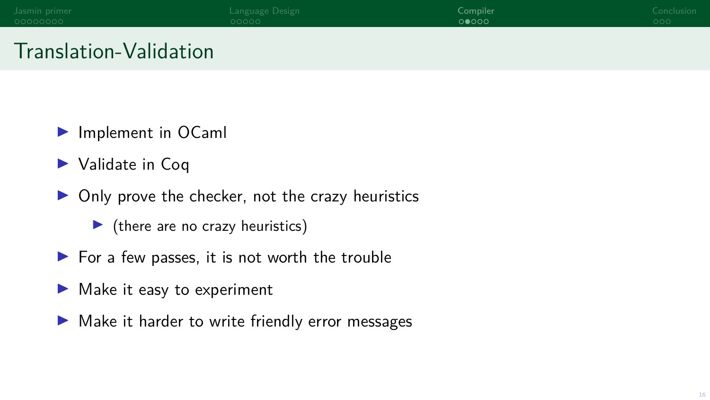| Jasmin primer | Language Design | Compiler i | Conclusion |
|---------------|-----------------|------------|------------|
| 00000000      | 00000           | 00000      | 000        |
|               |                 |            |            |

# Translation-Validation

- $\blacktriangleright$  Implement in OCaml
- $\blacktriangleright$  Validate in Coq
- $\triangleright$  Only prove the checker, not the crazy heuristics
	- $\blacktriangleright$  (there are no crazy heuristics)
- $\blacktriangleright$  For a few passes, it is not worth the trouble
- $\blacktriangleright$  Make it easy to experiment
- $\blacktriangleright$  Make it harder to write friendly error messages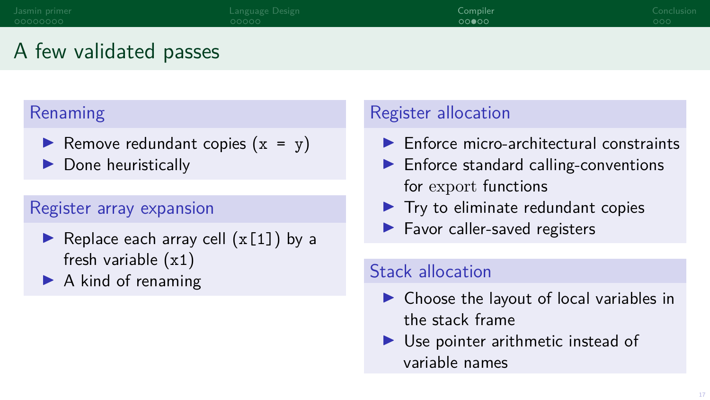# A few validated passes

#### Renaming

- Remove redundant copies  $(x = y)$
- $\blacktriangleright$  Done heuristically

#### Register array expansion

- Replace each array cell  $(x[1])$  by a fresh variable (x1)
- $\blacktriangleright$  A kind of renaming

#### Register allocation

- $\blacktriangleright$  Enforce micro-architectural constraints
- $\blacktriangleright$  Enforce standard calling-conventions for export functions
- $\blacktriangleright$  Try to eliminate redundant copies
- $\blacktriangleright$  Favor caller-saved registers

#### Stack allocation

- $\triangleright$  Choose the layout of local variables in the stack frame
- $\blacktriangleright$  Use pointer arithmetic instead of variable names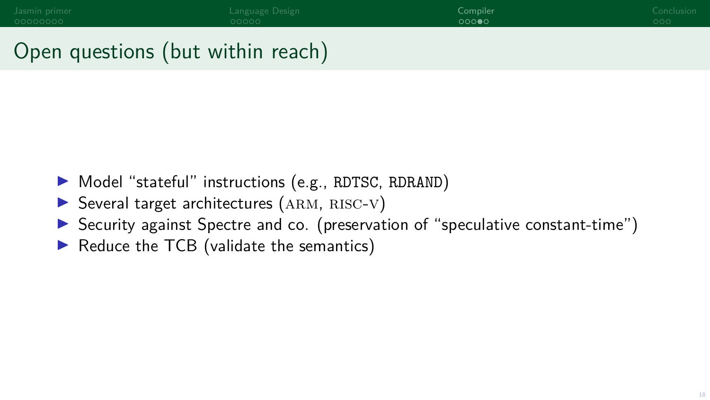# Open questions (but within reach)

- ▶ Model "stateful" instructions (e.g., RDTSC, RDRAND)
- $\triangleright$  Several target architectures (ARM, RISC-V)
- $\triangleright$  Security against Spectre and co. (preservation of "speculative constant-time")
- $\blacktriangleright$  Reduce the TCB (validate the semantics)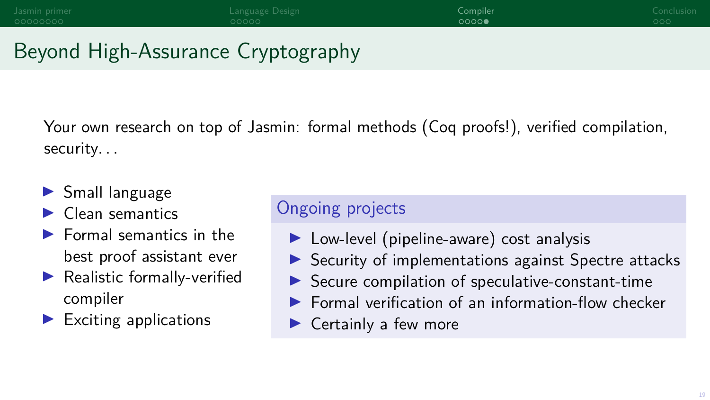# Beyond High-Assurance Cryptography

Your own research on top of Jasmin: formal methods (Coq proofs!), verified compilation, security. . .

- $\blacktriangleright$  Small language
- $\blacktriangleright$  Clean semantics
- $\blacktriangleright$  Formal semantics in the best proof assistant ever
- $\blacktriangleright$  Realistic formally-verified compiler
- Exciting applications

#### Ongoing projects

- $\blacktriangleright$  Low-level (pipeline-aware) cost analysis
- Security of implementations against Spectre attacks
- Secure compilation of speculative-constant-time
- I Formal verification of an information-flow checker
- $\blacktriangleright$  Certainly a few more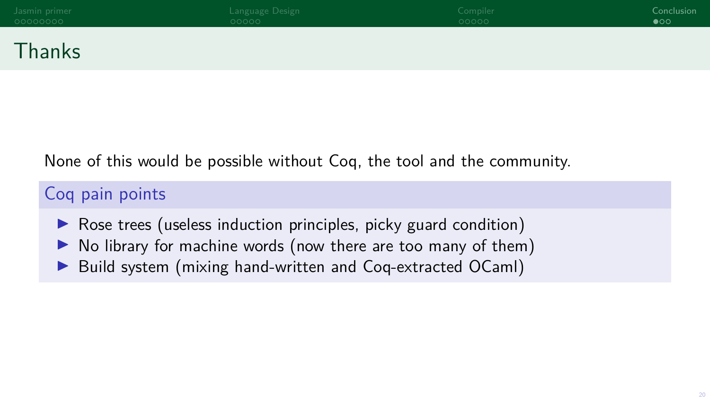<span id="page-19-0"></span>

| Jasmin primer | Language Design | Compiler | Conclusion   |
|---------------|-----------------|----------|--------------|
| 00000000      | 00000           | 00000    | $\bullet$ oo |
| Thanks        |                 |          |              |

#### None of this would be possible without Coq, the tool and the community.

#### Coq pain points

- $\triangleright$  Rose trees (useless induction principles, picky guard condition)
- $\triangleright$  No library for machine words (now there are too many of them)
- ▶ Build system (mixing hand-written and Coq-extracted OCaml)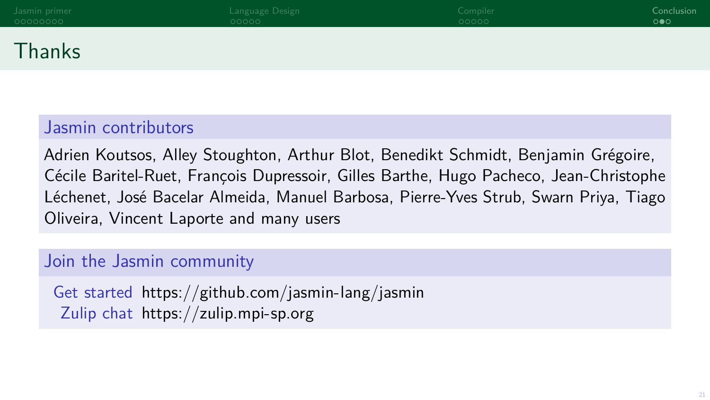# Thanks

#### Jasmin contributors

Adrien Koutsos, Alley Stoughton, Arthur Blot, Benedikt Schmidt, Benjamin Grégoire, Cécile Baritel-Ruet, François Dupressoir, Gilles Barthe, Hugo Pacheco, Jean-Christophe Léchenet, José Bacelar Almeida, Manuel Barbosa, Pierre-Yves Strub, Swarn Priya, Tiago Oliveira, Vincent Laporte and many users

#### Join the Jasmin community

Get started <https://github.com/jasmin-lang/jasmin> Zulip chat <https://zulip.mpi-sp.org>